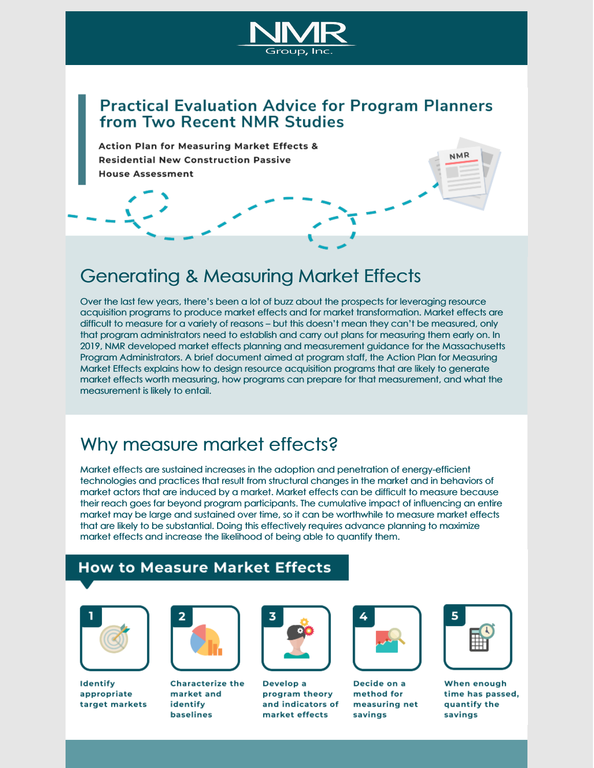

### **Practical Evaluation Advice for Program Planners** from Two Recent NMR Studies

**Action Plan for Measuring Market Effects & Residential New Construction Passive House Assessment** 

### [Generating](http://ma-eeac.org/wordpress/wp-content/uploads/Action_Plan_Measuring_Market_Effects_FINAL_2019.02.15.pdf) & Measuring Market Effects

Over the last few years, there's been a lot of buzz about the prospects for leveraging resource acquisition programs to produce market effects and for market transformation. Market effects are difficult to measure for a variety of reasons – but this doesn't mean they can't be measured, only that program administrators need to establish and carry out plans for measuring them early on. In 2019, NMR developed market effects planning and measurement guidance for the Massachusetts Program Administrators. A brief document aimed at program staff, the Action Plan for Measuring Market Effects explains how to design resource acquisition programs that are likely to generate market effects worth measuring, how programs can prepare for that measurement, and what the measurement is likely to entail.

## Why measure market effects?

Market effects are sustained increases in the adoption and penetration of energy-efficient technologies and practices that result from structural changes in the market and in behaviors of market actors that are induced by a market. Market effects can be difficult to measure because their reach goes far beyond program participants. The cumulative impact of influencing an entire market may be large and sustained over time, so it can be worthwhile to measure market effects that are likely to be substantial. Doing this effectively requires advance planning to maximize market effects and increase the likelihood of being able to quantify them.

#### **How to Measure Market Effects**



Identify appropriate target markets



**Characterize the** market and identify **baselines** 



Develop a program theory and indicators of market effects



Decide on a method for measuring net savings



NMR

When enough time has passed, quantify the savings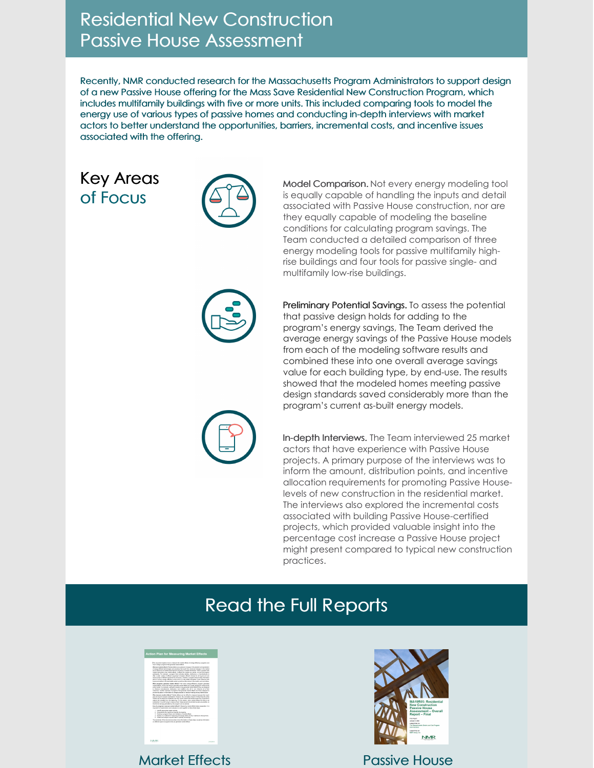## Residential New [Construction](http://ma-eeac.org/wordpress/wp-content/uploads/MA19R05_PassiveHouse_OverallReport_Final_2020.01.06.pdf) Passive House [Assessment](http://ma-eeac.org/wordpress/wp-content/uploads/MA19R05_PassiveHouse_OverallReport_Final_2020.01.06.pdf)

Recently, NMR conducted research for the Massachusetts Program Administrators to support design of a new Passive House offering for the Mass Save Residential New Construction Program, which includes multifamily buildings with five or more units. This included comparing tools to model the energy use of various types of passive homes and conducting in-depth interviews with market actors to better understand the opportunities, barriers, incremental costs, and incentive issues associated with the offering.

### Key Areas of Focus



Model Comparison. Not every energy modeling tool is equally capable of handling the inputs and detail associated with Passive House construction, nor are they equally capable of modeling the baseline conditions for calculating program savings. The Team conducted a detailed comparison of three energy modeling tools for passive multifamily highrise buildings and four tools for passive single- and multifamily low-rise buildings.



Preliminary Potential Savings. To assess the potential that passive design holds for adding to the program's energy savings, The Team derived the average energy savings of the Passive House models from each of the modeling software results and combined these into one overall average savings value for each building type, by end-use. The results showed that the modeled homes meeting passive design standards saved considerably more than the program's current as-built energy models.



In-depth Interviews. The Team interviewed 25 market actors that have experience with Passive House projects. A primary purpose of the interviews was to inform the amount, distribution points, and incentive allocation requirements for promoting Passive Houselevels of new construction in the residential market. The interviews also explored the incremental costs associated with building Passive House-certified projects, which provided valuable insight into the percentage cost increase a Passive House project might present compared to typical new construction practices.

# Read the Full Reports